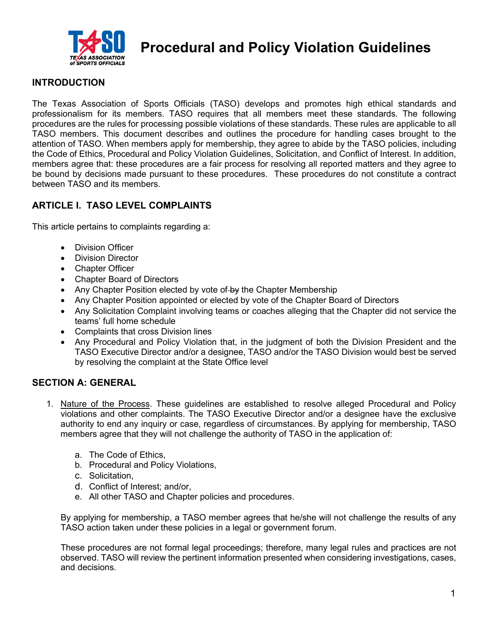

**Procedural and Policy Violation Guidelines**

## **INTRODUCTION**

The Texas Association of Sports Officials (TASO) develops and promotes high ethical standards and professionalism for its members. TASO requires that all members meet these standards. The following procedures are the rules for processing possible violations of these standards. These rules are applicable to all TASO members. This document describes and outlines the procedure for handling cases brought to the attention of TASO. When members apply for membership, they agree to abide by the TASO policies, including the Code of Ethics, Procedural and Policy Violation Guidelines, Solicitation, and Conflict of Interest. In addition, members agree that: these procedures are a fair process for resolving all reported matters and they agree to be bound by decisions made pursuant to these procedures. These procedures do not constitute a contract between TASO and its members.

# **ARTICLE I. TASO LEVEL COMPLAINTS**

This article pertains to complaints regarding a:

- Division Officer
- Division Director
- Chapter Officer
- Chapter Board of Directors
- Any Chapter Position elected by vote of by the Chapter Membership
- Any Chapter Position appointed or elected by vote of the Chapter Board of Directors
- Any Solicitation Complaint involving teams or coaches alleging that the Chapter did not service the teams' full home schedule
- Complaints that cross Division lines
- Any Procedural and Policy Violation that, in the judgment of both the Division President and the TASO Executive Director and/or a designee, TASO and/or the TASO Division would best be served by resolving the complaint at the State Office level

## **SECTION A: GENERAL**

- 1. Nature of the Process. These guidelines are established to resolve alleged Procedural and Policy violations and other complaints. The TASO Executive Director and/or a designee have the exclusive authority to end any inquiry or case, regardless of circumstances. By applying for membership, TASO members agree that they will not challenge the authority of TASO in the application of:
	- a. The Code of Ethics,
	- b. Procedural and Policy Violations,
	- c. Solicitation,
	- d. Conflict of Interest; and/or,
	- e. All other TASO and Chapter policies and procedures.

By applying for membership, a TASO member agrees that he/she will not challenge the results of any TASO action taken under these policies in a legal or government forum.

These procedures are not formal legal proceedings; therefore, many legal rules and practices are not observed. TASO will review the pertinent information presented when considering investigations, cases, and decisions.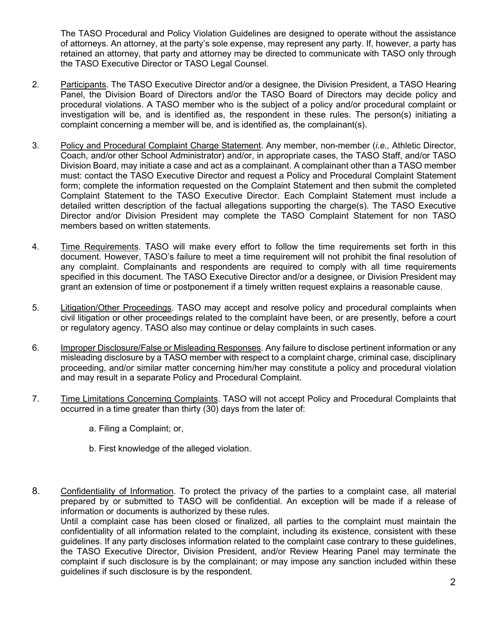The TASO Procedural and Policy Violation Guidelines are designed to operate without the assistance of attorneys. An attorney, at the party's sole expense, may represent any party. If, however, a party has retained an attorney, that party and attorney may be directed to communicate with TASO only through the TASO Executive Director or TASO Legal Counsel.

- 2. Participants. The TASO Executive Director and/or a designee, the Division President, a TASO Hearing Panel, the Division Board of Directors and/or the TASO Board of Directors may decide policy and procedural violations. A TASO member who is the subject of a policy and/or procedural complaint or investigation will be, and is identified as, the respondent in these rules. The person(s) initiating a complaint concerning a member will be, and is identified as, the complainant(s).
- 3. Policy and Procedural Complaint Charge Statement. Any member, non-member (*i.e.,* Athletic Director, Coach, and/or other School Administrator) and/or, in appropriate cases, the TASO Staff, and/or TASO Division Board, may initiate a case and act as a complainant. A complainant other than a TASO member must: contact the TASO Executive Director and request a Policy and Procedural Complaint Statement form; complete the information requested on the Complaint Statement and then submit the completed Complaint Statement to the TASO Executive Director. Each Complaint Statement must include a detailed written description of the factual allegations supporting the charge(s). The TASO Executive Director and/or Division President may complete the TASO Complaint Statement for non TASO members based on written statements.
- 4. Time Requirements. TASO will make every effort to follow the time requirements set forth in this document. However, TASO's failure to meet a time requirement will not prohibit the final resolution of any complaint. Complainants and respondents are required to comply with all time requirements specified in this document. The TASO Executive Director and/or a designee, or Division President may grant an extension of time or postponement if a timely written request explains a reasonable cause.
- 5. Litigation/Other Proceedings. TASO may accept and resolve policy and procedural complaints when civil litigation or other proceedings related to the complaint have been, or are presently, before a court or regulatory agency. TASO also may continue or delay complaints in such cases.
- 6. Improper Disclosure/False or Misleading Responses. Any failure to disclose pertinent information or any misleading disclosure by a TASO member with respect to a complaint charge, criminal case, disciplinary proceeding, and/or similar matter concerning him/her may constitute a policy and procedural violation and may result in a separate Policy and Procedural Complaint.
- 7. Time Limitations Concerning Complaints. TASO will not accept Policy and Procedural Complaints that occurred in a time greater than thirty (30) days from the later of:
	- a. Filing a Complaint; or,
	- b. First knowledge of the alleged violation.
- 8. Confidentiality of Information. To protect the privacy of the parties to a complaint case, all material prepared by or submitted to TASO will be confidential. An exception will be made if a release of information or documents is authorized by these rules. Until a complaint case has been closed or finalized, all parties to the complaint must maintain the

confidentiality of all information related to the complaint, including its existence, consistent with these guidelines. If any party discloses information related to the complaint case contrary to these guidelines, the TASO Executive Director, Division President, and/or Review Hearing Panel may terminate the complaint if such disclosure is by the complainant; or may impose any sanction included within these guidelines if such disclosure is by the respondent.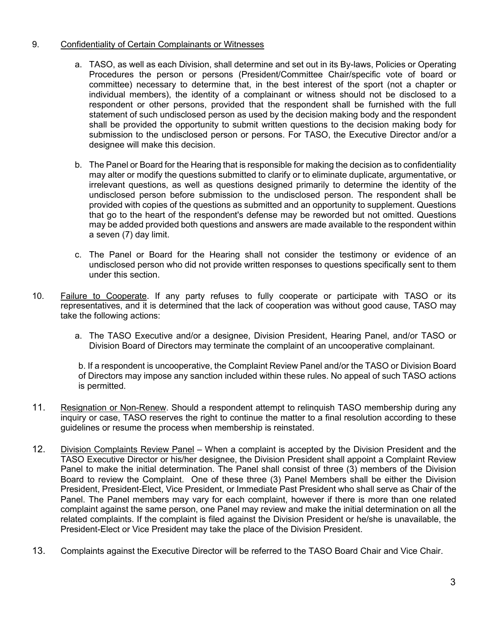### 9. Confidentiality of Certain Complainants or Witnesses

- a. TASO, as well as each Division, shall determine and set out in its By-laws, Policies or Operating Procedures the person or persons (President/Committee Chair/specific vote of board or committee) necessary to determine that, in the best interest of the sport (not a chapter or individual members), the identity of a complainant or witness should not be disclosed to a respondent or other persons, provided that the respondent shall be furnished with the full statement of such undisclosed person as used by the decision making body and the respondent shall be provided the opportunity to submit written questions to the decision making body for submission to the undisclosed person or persons. For TASO, the Executive Director and/or a designee will make this decision.
- b. The Panel or Board for the Hearing that is responsible for making the decision as to confidentiality may alter or modify the questions submitted to clarify or to eliminate duplicate, argumentative, or irrelevant questions, as well as questions designed primarily to determine the identity of the undisclosed person before submission to the undisclosed person. The respondent shall be provided with copies of the questions as submitted and an opportunity to supplement. Questions that go to the heart of the respondent's defense may be reworded but not omitted. Questions may be added provided both questions and answers are made available to the respondent within a seven (7) day limit.
- c. The Panel or Board for the Hearing shall not consider the testimony or evidence of an undisclosed person who did not provide written responses to questions specifically sent to them under this section.
- 10. Failure to Cooperate. If any party refuses to fully cooperate or participate with TASO or its representatives, and it is determined that the lack of cooperation was without good cause, TASO may take the following actions:
	- a. The TASO Executive and/or a designee, Division President, Hearing Panel, and/or TASO or Division Board of Directors may terminate the complaint of an uncooperative complainant.

b. If a respondent is uncooperative, the Complaint Review Panel and/or the TASO or Division Board of Directors may impose any sanction included within these rules. No appeal of such TASO actions is permitted.

- 11. Resignation or Non-Renew. Should a respondent attempt to relinquish TASO membership during any inquiry or case, TASO reserves the right to continue the matter to a final resolution according to these guidelines or resume the process when membership is reinstated.
- 12. Division Complaints Review Panel When a complaint is accepted by the Division President and the TASO Executive Director or his/her designee, the Division President shall appoint a Complaint Review Panel to make the initial determination. The Panel shall consist of three (3) members of the Division Board to review the Complaint. One of these three (3) Panel Members shall be either the Division President, President-Elect, Vice President, or Immediate Past President who shall serve as Chair of the Panel. The Panel members may vary for each complaint, however if there is more than one related complaint against the same person, one Panel may review and make the initial determination on all the related complaints. If the complaint is filed against the Division President or he/she is unavailable, the President-Elect or Vice President may take the place of the Division President.
- 13. Complaints against the Executive Director will be referred to the TASO Board Chair and Vice Chair.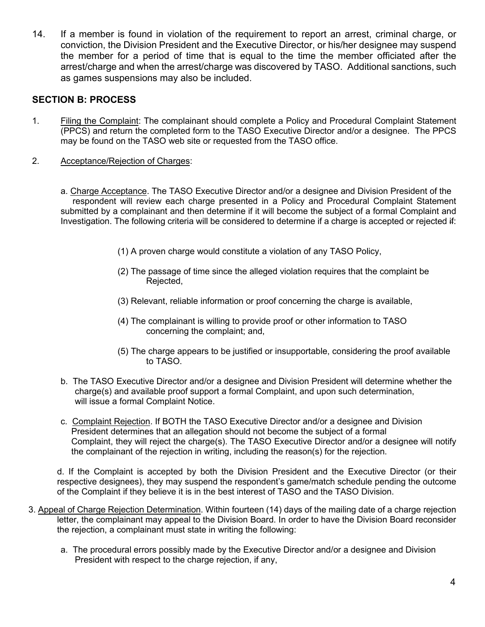14. If a member is found in violation of the requirement to report an arrest, criminal charge, or conviction, the Division President and the Executive Director, or his/her designee may suspend the member for a period of time that is equal to the time the member officiated after the arrest/charge and when the arrest/charge was discovered by TASO. Additional sanctions, such as games suspensions may also be included.

## **SECTION B: PROCESS**

- 1. Filing the Complaint: The complainant should complete a Policy and Procedural Complaint Statement (PPCS) and return the completed form to the TASO Executive Director and/or a designee. The PPCS may be found on the TASO web site or requested from the TASO office.
- 2. Acceptance/Rejection of Charges:

a. Charge Acceptance. The TASO Executive Director and/or a designee and Division President of the respondent will review each charge presented in a Policy and Procedural Complaint Statement submitted by a complainant and then determine if it will become the subject of a formal Complaint and Investigation. The following criteria will be considered to determine if a charge is accepted or rejected if:

- (1) A proven charge would constitute a violation of any TASO Policy,
- (2) The passage of time since the alleged violation requires that the complaint be Rejected,
- (3) Relevant, reliable information or proof concerning the charge is available,
- (4) The complainant is willing to provide proof or other information to TASO concerning the complaint; and,
- (5) The charge appears to be justified or insupportable, considering the proof available to TASO.
- b. The TASO Executive Director and/or a designee and Division President will determine whether the charge(s) and available proof support a formal Complaint, and upon such determination, will issue a formal Complaint Notice.
- c. Complaint Rejection. If BOTH the TASO Executive Director and/or a designee and Division President determines that an allegation should not become the subject of a formal Complaint, they will reject the charge(s). The TASO Executive Director and/or a designee will notify the complainant of the rejection in writing, including the reason(s) for the rejection.

d. If the Complaint is accepted by both the Division President and the Executive Director (or their respective designees), they may suspend the respondent's game/match schedule pending the outcome of the Complaint if they believe it is in the best interest of TASO and the TASO Division.

- 3. Appeal of Charge Rejection Determination. Within fourteen (14) days of the mailing date of a charge rejection letter, the complainant may appeal to the Division Board. In order to have the Division Board reconsider the rejection, a complainant must state in writing the following:
	- a. The procedural errors possibly made by the Executive Director and/or a designee and Division President with respect to the charge rejection, if any,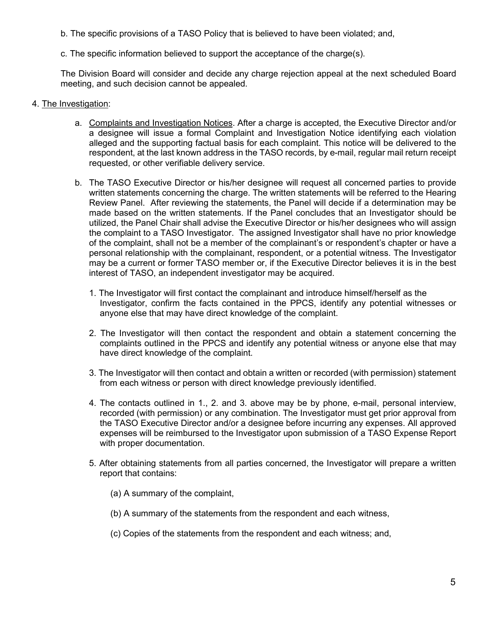- b. The specific provisions of a TASO Policy that is believed to have been violated; and,
- c. The specific information believed to support the acceptance of the charge(s).

The Division Board will consider and decide any charge rejection appeal at the next scheduled Board meeting, and such decision cannot be appealed.

- 4. The Investigation:
	- a. Complaints and Investigation Notices. After a charge is accepted, the Executive Director and/or a designee will issue a formal Complaint and Investigation Notice identifying each violation alleged and the supporting factual basis for each complaint. This notice will be delivered to the respondent, at the last known address in the TASO records, by e-mail, regular mail return receipt requested, or other verifiable delivery service.
	- b. The TASO Executive Director or his/her designee will request all concerned parties to provide written statements concerning the charge. The written statements will be referred to the Hearing Review Panel. After reviewing the statements, the Panel will decide if a determination may be made based on the written statements. If the Panel concludes that an Investigator should be utilized, the Panel Chair shall advise the Executive Director or his/her designees who will assign the complaint to a TASO Investigator. The assigned Investigator shall have no prior knowledge of the complaint, shall not be a member of the complainant's or respondent's chapter or have a personal relationship with the complainant, respondent, or a potential witness. The Investigator may be a current or former TASO member or, if the Executive Director believes it is in the best interest of TASO, an independent investigator may be acquired.
		- 1. The Investigator will first contact the complainant and introduce himself/herself as the Investigator, confirm the facts contained in the PPCS, identify any potential witnesses or anyone else that may have direct knowledge of the complaint.
		- 2. The Investigator will then contact the respondent and obtain a statement concerning the complaints outlined in the PPCS and identify any potential witness or anyone else that may have direct knowledge of the complaint.
		- 3. The Investigator will then contact and obtain a written or recorded (with permission) statement from each witness or person with direct knowledge previously identified.
		- 4. The contacts outlined in 1., 2. and 3. above may be by phone, e-mail, personal interview, recorded (with permission) or any combination. The Investigator must get prior approval from the TASO Executive Director and/or a designee before incurring any expenses. All approved expenses will be reimbursed to the Investigator upon submission of a TASO Expense Report with proper documentation.
		- 5. After obtaining statements from all parties concerned, the Investigator will prepare a written report that contains:
			- (a) A summary of the complaint,
			- (b) A summary of the statements from the respondent and each witness,
			- (c) Copies of the statements from the respondent and each witness; and,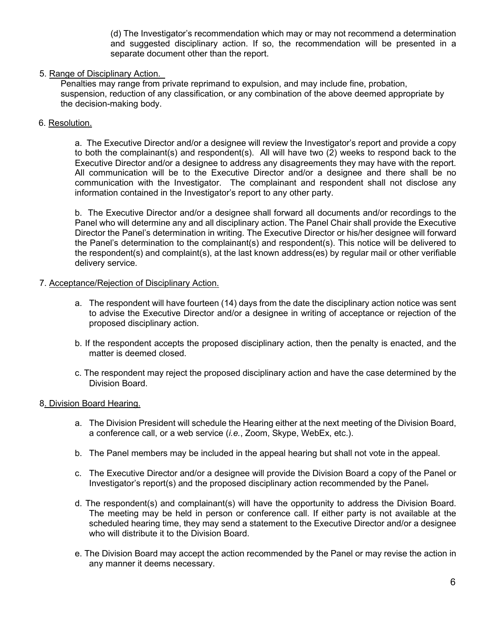(d) The Investigator's recommendation which may or may not recommend a determination and suggested disciplinary action. If so, the recommendation will be presented in a separate document other than the report.

### 5. Range of Disciplinary Action.

Penalties may range from private reprimand to expulsion, and may include fine, probation, suspension, reduction of any classification, or any combination of the above deemed appropriate by the decision-making body.

### 6. Resolution.

a. The Executive Director and/or a designee will review the Investigator's report and provide a copy to both the complainant(s) and respondent(s). All will have two (2) weeks to respond back to the Executive Director and/or a designee to address any disagreements they may have with the report. All communication will be to the Executive Director and/or a designee and there shall be no communication with the Investigator. The complainant and respondent shall not disclose any information contained in the Investigator's report to any other party.

b. The Executive Director and/or a designee shall forward all documents and/or recordings to the Panel who will determine any and all disciplinary action. The Panel Chair shall provide the Executive Director the Panel's determination in writing. The Executive Director or his/her designee will forward the Panel's determination to the complainant(s) and respondent(s). This notice will be delivered to the respondent(s) and complaint(s), at the last known address(es) by regular mail or other verifiable delivery service.

### 7. Acceptance/Rejection of Disciplinary Action.

- a. The respondent will have fourteen (14) days from the date the disciplinary action notice was sent to advise the Executive Director and/or a designee in writing of acceptance or rejection of the proposed disciplinary action.
- b. If the respondent accepts the proposed disciplinary action, then the penalty is enacted, and the matter is deemed closed.
- c. The respondent may reject the proposed disciplinary action and have the case determined by the Division Board.

### 8. Division Board Hearing.

- a. The Division President will schedule the Hearing either at the next meeting of the Division Board, a conference call, or a web service (*i.e.*, Zoom, Skype, WebEx, etc.).
- b. The Panel members may be included in the appeal hearing but shall not vote in the appeal.
- c. The Executive Director and/or a designee will provide the Division Board a copy of the Panel or Investigator's report(s) and the proposed disciplinary action recommended by the Panel.
- d. The respondent(s) and complainant(s) will have the opportunity to address the Division Board. The meeting may be held in person or conference call. If either party is not available at the scheduled hearing time, they may send a statement to the Executive Director and/or a designee who will distribute it to the Division Board.
- e. The Division Board may accept the action recommended by the Panel or may revise the action in any manner it deems necessary.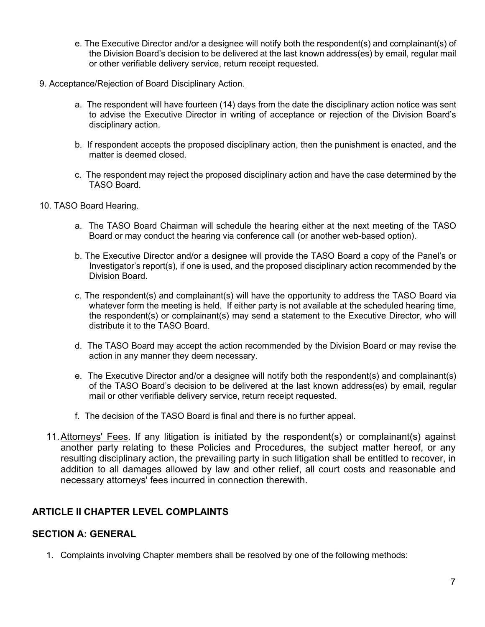- e. The Executive Director and/or a designee will notify both the respondent(s) and complainant(s) of the Division Board's decision to be delivered at the last known address(es) by email, regular mail or other verifiable delivery service, return receipt requested.
- 9. Acceptance/Rejection of Board Disciplinary Action.
	- a. The respondent will have fourteen (14) days from the date the disciplinary action notice was sent to advise the Executive Director in writing of acceptance or rejection of the Division Board's disciplinary action.
	- b. If respondent accepts the proposed disciplinary action, then the punishment is enacted, and the matter is deemed closed.
	- c. The respondent may reject the proposed disciplinary action and have the case determined by the TASO Board.

### 10. TASO Board Hearing.

- a. The TASO Board Chairman will schedule the hearing either at the next meeting of the TASO Board or may conduct the hearing via conference call (or another web-based option).
- b. The Executive Director and/or a designee will provide the TASO Board a copy of the Panel's or Investigator's report(s), if one is used, and the proposed disciplinary action recommended by the Division Board.
- c. The respondent(s) and complainant(s) will have the opportunity to address the TASO Board via whatever form the meeting is held. If either party is not available at the scheduled hearing time, the respondent(s) or complainant(s) may send a statement to the Executive Director, who will distribute it to the TASO Board.
- d. The TASO Board may accept the action recommended by the Division Board or may revise the action in any manner they deem necessary.
- e. The Executive Director and/or a designee will notify both the respondent(s) and complainant(s) of the TASO Board's decision to be delivered at the last known address(es) by email, regular mail or other verifiable delivery service, return receipt requested.
- f. The decision of the TASO Board is final and there is no further appeal.
- 11.Attorneys' Fees. If any litigation is initiated by the respondent(s) or complainant(s) against another party relating to these Policies and Procedures, the subject matter hereof, or any resulting disciplinary action, the prevailing party in such litigation shall be entitled to recover, in addition to all damages allowed by law and other relief, all court costs and reasonable and necessary attorneys' fees incurred in connection therewith.

# **ARTICLE II CHAPTER LEVEL COMPLAINTS**

## **SECTION A: GENERAL**

1. Complaints involving Chapter members shall be resolved by one of the following methods: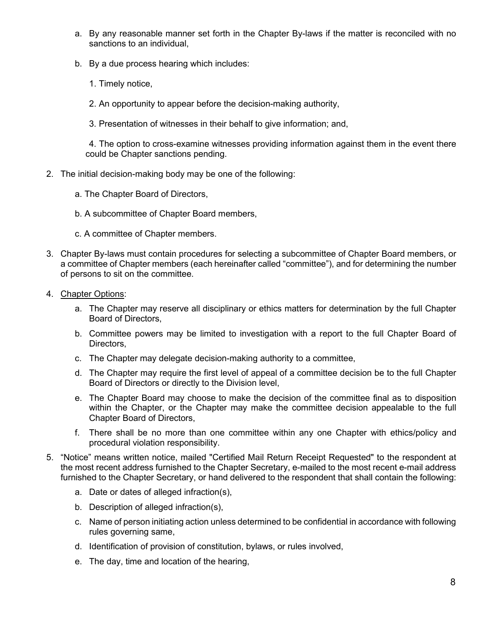- a. By any reasonable manner set forth in the Chapter By-laws if the matter is reconciled with no sanctions to an individual,
- b. By a due process hearing which includes:
	- 1. Timely notice,
	- 2. An opportunity to appear before the decision-making authority,
	- 3. Presentation of witnesses in their behalf to give information; and,

4. The option to cross-examine witnesses providing information against them in the event there could be Chapter sanctions pending.

- 2. The initial decision-making body may be one of the following:
	- a. The Chapter Board of Directors,
	- b. A subcommittee of Chapter Board members,
	- c. A committee of Chapter members.
- 3. Chapter By-laws must contain procedures for selecting a subcommittee of Chapter Board members, or a committee of Chapter members (each hereinafter called "committee"), and for determining the number of persons to sit on the committee.
- 4. Chapter Options:
	- a. The Chapter may reserve all disciplinary or ethics matters for determination by the full Chapter Board of Directors,
	- b. Committee powers may be limited to investigation with a report to the full Chapter Board of Directors,
	- c. The Chapter may delegate decision-making authority to a committee,
	- d. The Chapter may require the first level of appeal of a committee decision be to the full Chapter Board of Directors or directly to the Division level,
	- e. The Chapter Board may choose to make the decision of the committee final as to disposition within the Chapter, or the Chapter may make the committee decision appealable to the full Chapter Board of Directors,
	- f. There shall be no more than one committee within any one Chapter with ethics/policy and procedural violation responsibility.
- 5. "Notice" means written notice, mailed "Certified Mail Return Receipt Requested" to the respondent at the most recent address furnished to the Chapter Secretary, e-mailed to the most recent e-mail address furnished to the Chapter Secretary, or hand delivered to the respondent that shall contain the following:
	- a. Date or dates of alleged infraction(s),
	- b. Description of alleged infraction(s),
	- c. Name of person initiating action unless determined to be confidential in accordance with following rules governing same,
	- d. Identification of provision of constitution, bylaws, or rules involved,
	- e. The day, time and location of the hearing,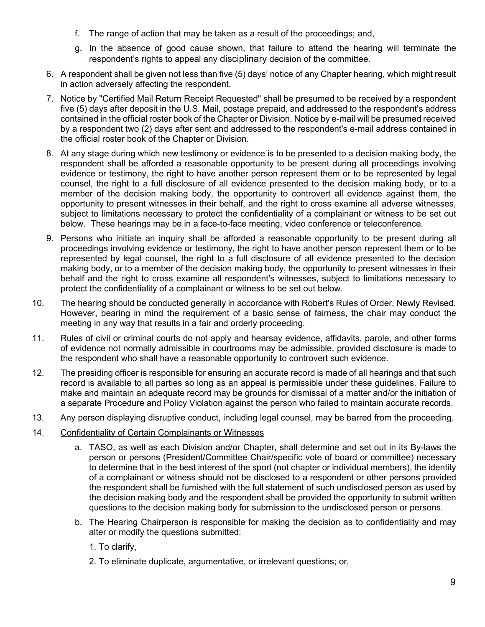- f. The range of action that may be taken as a result of the proceedings; and,
- g. In the absence of good cause shown, that failure to attend the hearing will terminate the respondent's rights to appeal any disciplinary decision of the committee.
- 6. A respondent shall be given not less than five (5) days' notice of any Chapter hearing, which might result in action adversely affecting the respondent.
- 7. Notice by "Certified Mail Return Receipt Requested" shall be presumed to be received by a respondent five (5) days after deposit in the U.S. Mail, postage prepaid, and addressed to the respondent's address contained in the official roster book of the Chapter or Division. Notice by e-mail will be presumed received by a respondent two (2) days after sent and addressed to the respondent's e-mail address contained in the official roster book of the Chapter or Division.
- 8. At any stage during which new testimony or evidence is to be presented to a decision making body, the respondent shall be afforded a reasonable opportunity to be present during all proceedings involving evidence or testimony, the right to have another person represent them or to be represented by legal counsel, the right to a full disclosure of all evidence presented to the decision making body, or to a member of the decision making body, the opportunity to controvert all evidence against them, the opportunity to present witnesses in their behalf, and the right to cross examine all adverse witnesses, subject to limitations necessary to protect the confidentiality of a complainant or witness to be set out below. These hearings may be in a face-to-face meeting, video conference or teleconference.
- 9. Persons who initiate an inquiry shall be afforded a reasonable opportunity to be present during all proceedings involving evidence or testimony, the right to have another person represent them or to be represented by legal counsel, the right to a full disclosure of all evidence presented to the decision making body, or to a member of the decision making body, the opportunity to present witnesses in their behalf and the right to cross examine all respondent's witnesses, subject to limitations necessary to protect the confidentiality of a complainant or witness to be set out below.
- 10. The hearing should be conducted generally in accordance with Robert's Rules of Order, Newly Revised. However, bearing in mind the requirement of a basic sense of fairness, the chair may conduct the meeting in any way that results in a fair and orderly proceeding.
- 11. Rules of civil or criminal courts do not apply and hearsay evidence, affidavits, parole, and other forms of evidence not normally admissible in courtrooms may be admissible, provided disclosure is made to the respondent who shall have a reasonable opportunity to controvert such evidence.
- 12. The presiding officer is responsible for ensuring an accurate record is made of all hearings and that such record is available to all parties so long as an appeal is permissible under these guidelines. Failure to make and maintain an adequate record may be grounds for dismissal of a matter and/or the initiation of a separate Procedure and Policy Violation against the person who failed to maintain accurate records.
- 13. Any person displaying disruptive conduct, including legal counsel, may be barred from the proceeding.
- 14. Confidentiality of Certain Complainants or Witnesses
	- a. TASO, as well as each Division and/or Chapter, shall determine and set out in its By-laws the person or persons (President/Committee Chair/specific vote of board or committee) necessary to determine that in the best interest of the sport (not chapter or individual members), the identity of a complainant or witness should not be disclosed to a respondent or other persons provided the respondent shall be furnished with the full statement of such undisclosed person as used by the decision making body and the respondent shall be provided the opportunity to submit written questions to the decision making body for submission to the undisclosed person or persons.
	- b. The Hearing Chairperson is responsible for making the decision as to confidentiality and may alter or modify the questions submitted:
		- 1. To clarify,
		- 2. To eliminate duplicate, argumentative, or irrelevant questions; or,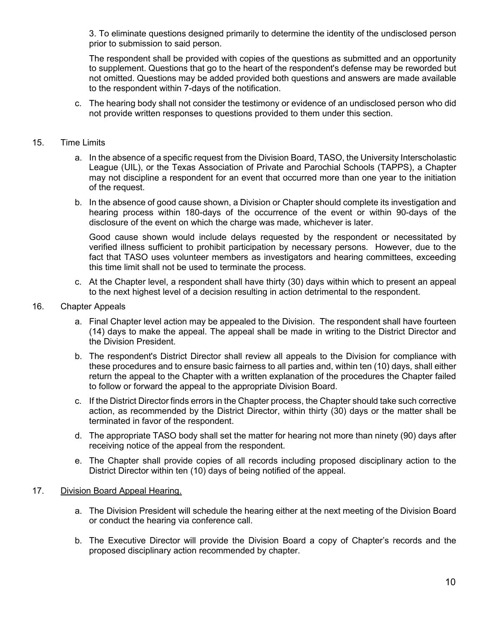3. To eliminate questions designed primarily to determine the identity of the undisclosed person prior to submission to said person.

The respondent shall be provided with copies of the questions as submitted and an opportunity to supplement. Questions that go to the heart of the respondent's defense may be reworded but not omitted. Questions may be added provided both questions and answers are made available to the respondent within 7-days of the notification.

c. The hearing body shall not consider the testimony or evidence of an undisclosed person who did not provide written responses to questions provided to them under this section.

### 15. Time Limits

- a. In the absence of a specific request from the Division Board, TASO, the University Interscholastic League (UIL), or the Texas Association of Private and Parochial Schools (TAPPS), a Chapter may not discipline a respondent for an event that occurred more than one year to the initiation of the request.
- b. In the absence of good cause shown, a Division or Chapter should complete its investigation and hearing process within 180-days of the occurrence of the event or within 90-days of the disclosure of the event on which the charge was made, whichever is later.

Good cause shown would include delays requested by the respondent or necessitated by verified illness sufficient to prohibit participation by necessary persons. However, due to the fact that TASO uses volunteer members as investigators and hearing committees, exceeding this time limit shall not be used to terminate the process.

c. At the Chapter level, a respondent shall have thirty (30) days within which to present an appeal to the next highest level of a decision resulting in action detrimental to the respondent.

#### 16. Chapter Appeals

- a. Final Chapter level action may be appealed to the Division. The respondent shall have fourteen (14) days to make the appeal. The appeal shall be made in writing to the District Director and the Division President.
- b. The respondent's District Director shall review all appeals to the Division for compliance with these procedures and to ensure basic fairness to all parties and, within ten (10) days, shall either return the appeal to the Chapter with a written explanation of the procedures the Chapter failed to follow or forward the appeal to the appropriate Division Board.
- c. If the District Director finds errors in the Chapter process, the Chapter should take such corrective action, as recommended by the District Director, within thirty (30) days or the matter shall be terminated in favor of the respondent.
- d. The appropriate TASO body shall set the matter for hearing not more than ninety (90) days after receiving notice of the appeal from the respondent.
- e. The Chapter shall provide copies of all records including proposed disciplinary action to the District Director within ten (10) days of being notified of the appeal.

#### 17. Division Board Appeal Hearing.

- a. The Division President will schedule the hearing either at the next meeting of the Division Board or conduct the hearing via conference call.
- b. The Executive Director will provide the Division Board a copy of Chapter's records and the proposed disciplinary action recommended by chapter.